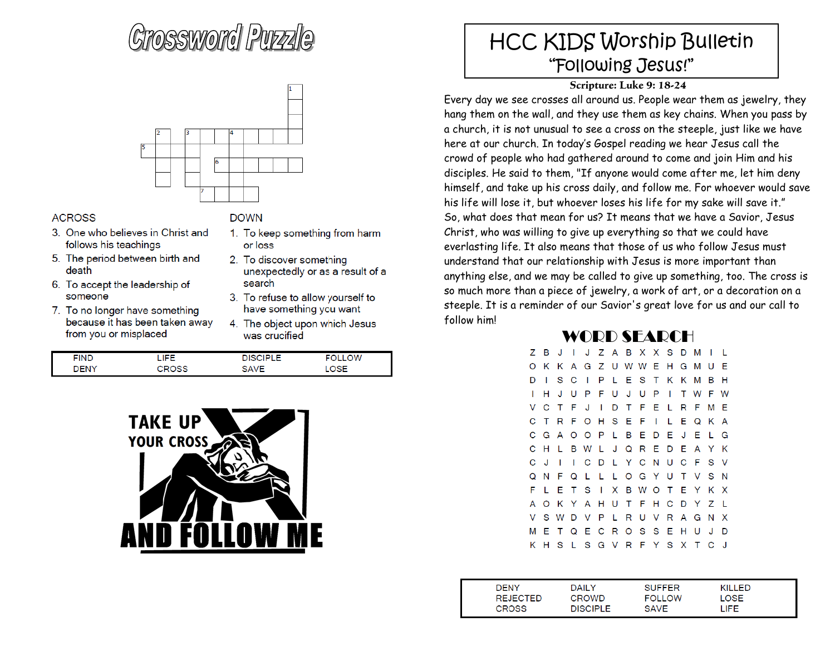# Grossword Purzyle



### **ACROSS**

- 3. One who believes in Christ and follows his teachings
- 5. The period between birth and death
- 6. To accept the leadership of someone
- 7. To no longer have something because it has been taken away from you or misplaced

#### **DOWN**

- 1. To keep something from harm or loss
- 2. To discover something unexpectedly or as a result of a search
- 3. To refuse to allow yourself to have something you want
- 4. The object upon which Jesus was crucified

| <b>FIND</b>  | r e e                    | $\sim$ $\sim$ | ∩W |
|--------------|--------------------------|---------------|----|
| <b>IENIV</b> | $\overline{\phantom{a}}$ | O A VIE       |    |



## HCC KIDS Worship Bulletin "Following Jesus!"

### **Scripture: Luke 9: 18-24**

Every day we see crosses all around us. People wear them as jewelry, they hang them on the wall, and they use them as key chains. When you pass by a church, it is not unusual to see a cross on the steeple, just like we have here at our church. In today's Gospel reading we hear Jesus call the crowd of people who had gathered around to come and join Him and his disciples. He said to them, "If anyone would come after me, let him deny himself, and take up his cross daily, and follow me. For whoever would save his life will lose it, but whoever loses his life for my sake will save it." So, what does that mean for us? It means that we have a Savior, Jesus Christ, who was willing to give up everything so that we could have everlasting life. It also means that those of us who follow Jesus must understand that our relationship with Jesus is more important than anything else, and we may be called to give up something, too. The cross is so much more than a piece of jewelry, a work of art, or a decoration on a steeple. It is a reminder of our Savior's great love for us and our call to follow him!

### WORD SEARCH

|   | Z B          | J                       | I.  |                     |   |  | J Z A B X X S D M |              |                           | - 1 |              |
|---|--------------|-------------------------|-----|---------------------|---|--|-------------------|--------------|---------------------------|-----|--------------|
| O |              | K K A G Z U W W E H G M |     |                     |   |  |                   |              |                           | -U  | -F           |
| D | -1           |                         | S C | $\mathbf{L}$        | P |  | L E S T K K M     |              |                           | в   | н            |
|   | н            |                         | JU  | PFUJUPI             |   |  |                   |              | T W F W                   |     |              |
| V |              | C T F J I               |     |                     |   |  |                   |              | D T F E L R F             | м   | -F           |
| C | T            |                         |     | R F O H S E F I     |   |  |                   | $\mathbf{L}$ | EQKA                      |     |              |
| C |              | G A O O P L B E D E J E |     |                     |   |  |                   |              |                           | - L | G            |
| C | -н           | L.                      |     | B W L               |   |  |                   |              | J Q R E D E A Y K         |     |              |
| C | J.           | 1                       |     |                     |   |  |                   |              | I C D L Y C N U C F S V   |     |              |
| O | $\mathsf{N}$ |                         |     |                     |   |  |                   |              | F Q L L L O G Y U T V S N |     |              |
| F | L.           | - E                     |     |                     |   |  |                   |              | T S I X B W O T E Y       | K X |              |
| А |              |                         |     |                     |   |  |                   |              | O K Y A H U T F H C D Y Z |     | - L          |
| v |              |                         |     |                     |   |  |                   |              | S W D V P L R U V R A G N |     | $\mathbf{x}$ |
| м | E.           |                         |     | T Q E C R O S S E H |   |  |                   |              | U                         | J   | D            |
| ĸ | н            | S                       |     |                     |   |  |                   |              | L S G V R F Y S X T C     |     | - 1          |

| DENY            | DAILY     | <b>SUFFER</b> | KILLED |  |
|-----------------|-----------|---------------|--------|--|
| <b>REJECTED</b> | CROWD     | <b>FOLLOW</b> | LOSE   |  |
| <b>CROSS</b>    | DISCIPI F | SAVE          | -IFF   |  |